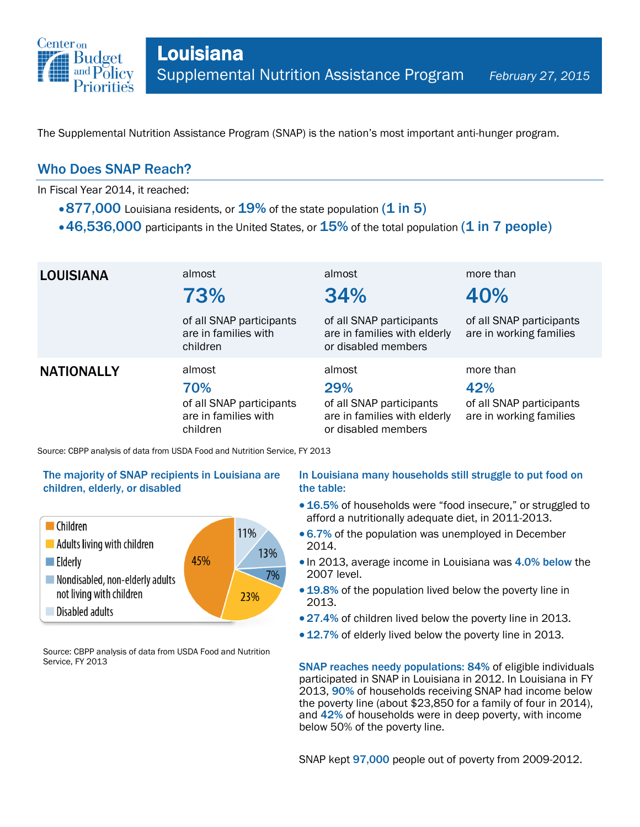

The Supplemental Nutrition Assistance Program (SNAP) is the nation's most important anti-hunger program.

## Who Does SNAP Reach?

In Fiscal Year 2014, it reached:

- $\cdot$  877,000 Louisiana residents, or  $19\%$  of the state population (1 in 5)
- $\cdot$  46,536,000 participants in the United States, or  $15\%$  of the total population (1 in 7 people)

| <b>LOUISIANA</b>  | almost<br>73%                                                                 | almost<br>34%                                                                                    | more than<br>40%                                                        |
|-------------------|-------------------------------------------------------------------------------|--------------------------------------------------------------------------------------------------|-------------------------------------------------------------------------|
|                   | of all SNAP participants<br>are in families with<br>children                  | of all SNAP participants<br>are in families with elderly<br>or disabled members                  | of all SNAP participants<br>are in working families                     |
| <b>NATIONALLY</b> | almost<br>70%<br>of all SNAP participants<br>are in families with<br>children | almost<br>29%<br>of all SNAP participants<br>are in families with elderly<br>or disabled members | more than<br>42%<br>of all SNAP participants<br>are in working families |

Source: CBPP analysis of data from USDA Food and Nutrition Service, FY 2013

### The majority of SNAP recipients in Louisiana are children, elderly, or disabled



Source: CBPP analysis of data from USDA Food and Nutrition Service, FY 2013

#### In Louisiana many households still struggle to put food on the table:

- 16.5% of households were "food insecure," or struggled to afford a nutritionally adequate diet, in 2011-2013.
- 6.7% of the population was unemployed in December 2014.
- In 2013, average income in Louisiana was 4.0% below the 2007 level.
- 19.8% of the population lived below the poverty line in 2013.
- 27.4% of children lived below the poverty line in 2013.
- 12.7% of elderly lived below the poverty line in 2013.

SNAP reaches needy populations: 84% of eligible individuals participated in SNAP in Louisiana in 2012. In Louisiana in FY 2013, 90% of households receiving SNAP had income below the poverty line (about \$23,850 for a family of four in 2014), and 42% of households were in deep poverty, with income below 50% of the poverty line.

SNAP kept 97,000 people out of poverty from 2009-2012.